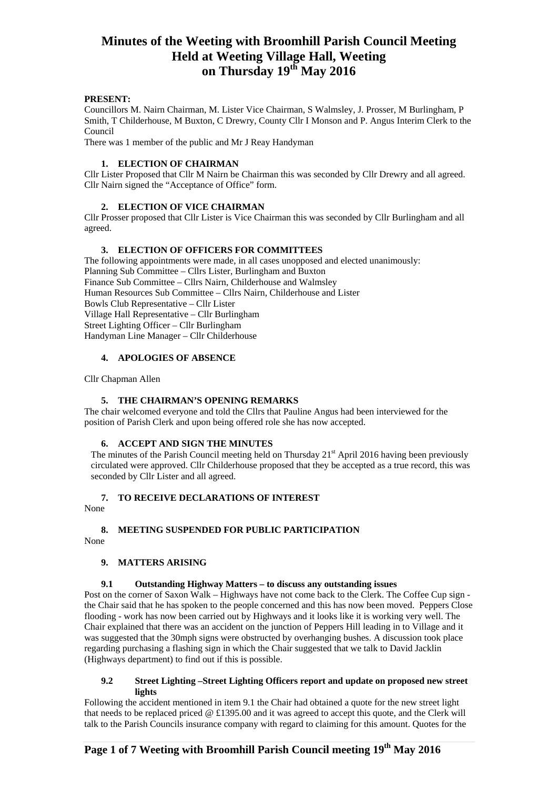## **PRESENT:**

Councillors M. Nairn Chairman, M. Lister Vice Chairman, S Walmsley, J. Prosser, M Burlingham, P Smith, T Childerhouse, M Buxton, C Drewry, County Cllr I Monson and P. Angus Interim Clerk to the Council

There was 1 member of the public and Mr J Reay Handyman

## **1. ELECTION OF CHAIRMAN**

Cllr Lister Proposed that Cllr M Nairn be Chairman this was seconded by Cllr Drewry and all agreed. Cllr Nairn signed the "Acceptance of Office" form.

## **2. ELECTION OF VICE CHAIRMAN**

Cllr Prosser proposed that Cllr Lister is Vice Chairman this was seconded by Cllr Burlingham and all agreed.

## **3. ELECTION OF OFFICERS FOR COMMITTEES**

The following appointments were made, in all cases unopposed and elected unanimously: Planning Sub Committee – Cllrs Lister, Burlingham and Buxton Finance Sub Committee – Cllrs Nairn, Childerhouse and Walmsley Human Resources Sub Committee – Cllrs Nairn, Childerhouse and Lister Bowls Club Representative – Cllr Lister Village Hall Representative – Cllr Burlingham Street Lighting Officer – Cllr Burlingham Handyman Line Manager – Cllr Childerhouse

## **4. APOLOGIES OF ABSENCE**

Cllr Chapman Allen

## **5. THE CHAIRMAN'S OPENING REMARKS**

The chair welcomed everyone and told the Cllrs that Pauline Angus had been interviewed for the position of Parish Clerk and upon being offered role she has now accepted.

### **6. ACCEPT AND SIGN THE MINUTES**

The minutes of the Parish Council meeting held on Thursday  $21<sup>st</sup>$  April 2016 having been previously circulated were approved. Cllr Childerhouse proposed that they be accepted as a true record, this was seconded by Cllr Lister and all agreed.

## **7. TO RECEIVE DECLARATIONS OF INTEREST**

None

## **8. MEETING SUSPENDED FOR PUBLIC PARTICIPATION**

None

## **9. MATTERS ARISING**

## **9.1 Outstanding Highway Matters – to discuss any outstanding issues**

Post on the corner of Saxon Walk – Highways have not come back to the Clerk. The Coffee Cup sign the Chair said that he has spoken to the people concerned and this has now been moved. Peppers Close flooding - work has now been carried out by Highways and it looks like it is working very well. The Chair explained that there was an accident on the junction of Peppers Hill leading in to Village and it was suggested that the 30mph signs were obstructed by overhanging bushes. A discussion took place regarding purchasing a flashing sign in which the Chair suggested that we talk to David Jacklin (Highways department) to find out if this is possible.

### **9.2 Street Lighting –Street Lighting Officers report and update on proposed new street lights**

Following the accident mentioned in item 9.1 the Chair had obtained a quote for the new street light that needs to be replaced priced @ £1395.00 and it was agreed to accept this quote, and the Clerk will talk to the Parish Councils insurance company with regard to claiming for this amount. Quotes for the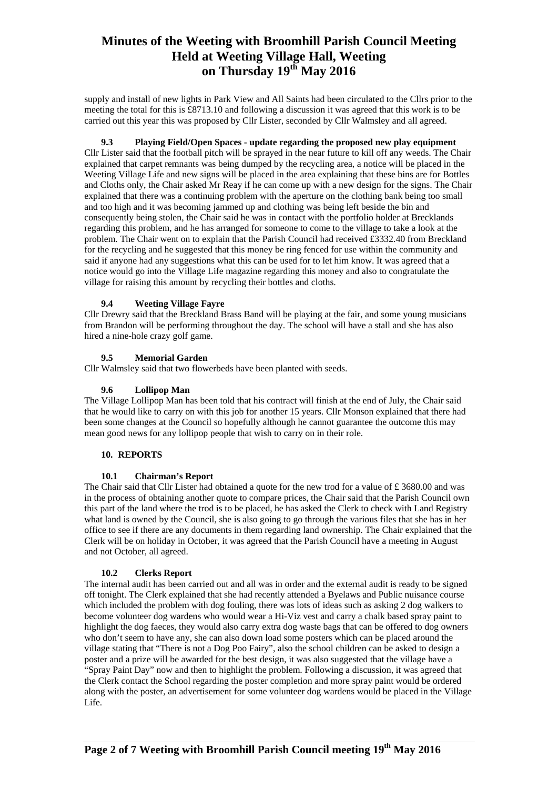supply and install of new lights in Park View and All Saints had been circulated to the Cllrs prior to the meeting the total for this is £8713.10 and following a discussion it was agreed that this work is to be carried out this year this was proposed by Cllr Lister, seconded by Cllr Walmsley and all agreed.

### **9.3 Playing Field/Open Spaces - update regarding the proposed new play equipment**

Cllr Lister said that the football pitch will be sprayed in the near future to kill off any weeds. The Chair explained that carpet remnants was being dumped by the recycling area, a notice will be placed in the Weeting Village Life and new signs will be placed in the area explaining that these bins are for Bottles and Cloths only, the Chair asked Mr Reay if he can come up with a new design for the signs. The Chair explained that there was a continuing problem with the aperture on the clothing bank being too small and too high and it was becoming jammed up and clothing was being left beside the bin and consequently being stolen, the Chair said he was in contact with the portfolio holder at Brecklands regarding this problem, and he has arranged for someone to come to the village to take a look at the problem. The Chair went on to explain that the Parish Council had received £3332.40 from Breckland for the recycling and he suggested that this money be ring fenced for use within the community and said if anyone had any suggestions what this can be used for to let him know. It was agreed that a notice would go into the Village Life magazine regarding this money and also to congratulate the village for raising this amount by recycling their bottles and cloths.

## **9.4 Weeting Village Fayre**

Cllr Drewry said that the Breckland Brass Band will be playing at the fair, and some young musicians from Brandon will be performing throughout the day. The school will have a stall and she has also hired a nine-hole crazy golf game.

### **9.5 Memorial Garden**

Cllr Walmsley said that two flowerbeds have been planted with seeds.

#### **9.6 Lollipop Man**

The Village Lollipop Man has been told that his contract will finish at the end of July, the Chair said that he would like to carry on with this job for another 15 years. Cllr Monson explained that there had been some changes at the Council so hopefully although he cannot guarantee the outcome this may mean good news for any lollipop people that wish to carry on in their role.

#### **10. REPORTS**

### **10.1 Chairman's Report**

The Chair said that Cllr Lister had obtained a quote for the new trod for a value of  $\pounds$  3680.00 and was in the process of obtaining another quote to compare prices, the Chair said that the Parish Council own this part of the land where the trod is to be placed, he has asked the Clerk to check with Land Registry what land is owned by the Council, she is also going to go through the various files that she has in her office to see if there are any documents in them regarding land ownership. The Chair explained that the Clerk will be on holiday in October, it was agreed that the Parish Council have a meeting in August and not October, all agreed.

#### **10.2 Clerks Report**

The internal audit has been carried out and all was in order and the external audit is ready to be signed off tonight. The Clerk explained that she had recently attended a Byelaws and Public nuisance course which included the problem with dog fouling, there was lots of ideas such as asking 2 dog walkers to become volunteer dog wardens who would wear a Hi-Viz vest and carry a chalk based spray paint to highlight the dog faeces, they would also carry extra dog waste bags that can be offered to dog owners who don't seem to have any, she can also down load some posters which can be placed around the village stating that "There is not a Dog Poo Fairy", also the school children can be asked to design a poster and a prize will be awarded for the best design, it was also suggested that the village have a "Spray Paint Day" now and then to highlight the problem. Following a discussion, it was agreed that the Clerk contact the School regarding the poster completion and more spray paint would be ordered along with the poster, an advertisement for some volunteer dog wardens would be placed in the Village Life.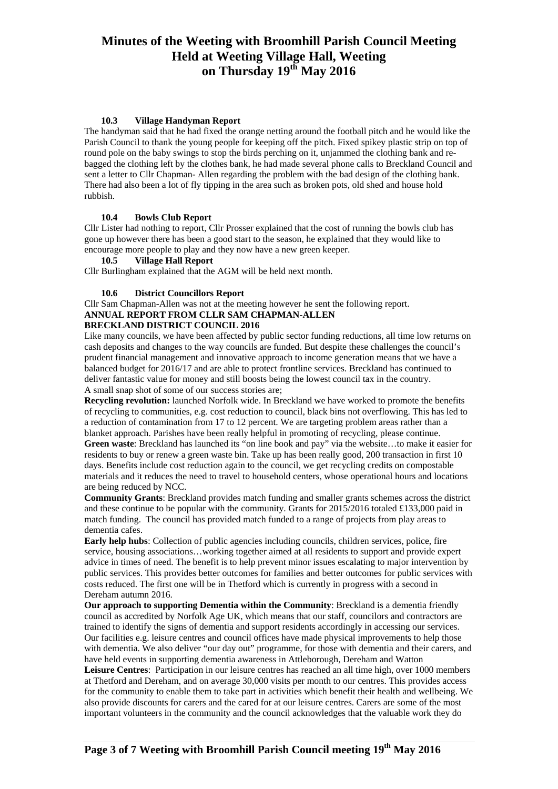## **10.3 Village Handyman Report**

The handyman said that he had fixed the orange netting around the football pitch and he would like the Parish Council to thank the young people for keeping off the pitch. Fixed spikey plastic strip on top of round pole on the baby swings to stop the birds perching on it, unjammed the clothing bank and rebagged the clothing left by the clothes bank, he had made several phone calls to Breckland Council and sent a letter to Cllr Chapman- Allen regarding the problem with the bad design of the clothing bank. There had also been a lot of fly tipping in the area such as broken pots, old shed and house hold rubbish.

### **10.4 Bowls Club Report**

Cllr Lister had nothing to report, Cllr Prosser explained that the cost of running the bowls club has gone up however there has been a good start to the season, he explained that they would like to encourage more people to play and they now have a new green keeper.

### **10.5 Village Hall Report**

Cllr Burlingham explained that the AGM will be held next month.

### **10.6 District Councillors Report**

Cllr Sam Chapman-Allen was not at the meeting however he sent the following report. **ANNUAL REPORT FROM CLLR SAM CHAPMAN-ALLEN** 

## **BRECKLAND DISTRICT COUNCIL 2016**

Like many councils, we have been affected by public sector funding reductions, all time low returns on cash deposits and changes to the way councils are funded. But despite these challenges the council's prudent financial management and innovative approach to income generation means that we have a balanced budget for 2016/17 and are able to protect frontline services. Breckland has continued to deliver fantastic value for money and still boosts being the lowest council tax in the country. A small snap shot of some of our success stories are;

**Recycling revolution:** launched Norfolk wide. In Breckland we have worked to promote the benefits of recycling to communities, e.g. cost reduction to council, black bins not overflowing. This has led to a reduction of contamination from 17 to 12 percent. We are targeting problem areas rather than a blanket approach. Parishes have been really helpful in promoting of recycling, please continue. **Green waste**: Breckland has launched its "on line book and pay" via the website…to make it easier for residents to buy or renew a green waste bin. Take up has been really good, 200 transaction in first 10 days. Benefits include cost reduction again to the council, we get recycling credits on compostable materials and it reduces the need to travel to household centers, whose operational hours and locations are being reduced by NCC.

**Community Grants**: Breckland provides match funding and smaller grants schemes across the district and these continue to be popular with the community. Grants for  $2015/2016$  totaled £133,000 paid in match funding. The council has provided match funded to a range of projects from play areas to dementia cafes.

**Early help hubs**: Collection of public agencies including councils, children services, police, fire service, housing associations…working together aimed at all residents to support and provide expert advice in times of need. The benefit is to help prevent minor issues escalating to major intervention by public services. This provides better outcomes for families and better outcomes for public services with costs reduced. The first one will be in Thetford which is currently in progress with a second in Dereham autumn 2016.

**Our approach to supporting Dementia within the Community**: Breckland is a dementia friendly council as accredited by Norfolk Age UK, which means that our staff, councilors and contractors are trained to identify the signs of dementia and support residents accordingly in accessing our services. Our facilities e.g. leisure centres and council offices have made physical improvements to help those with dementia. We also deliver "our day out" programme, for those with dementia and their carers, and have held events in supporting dementia awareness in Attleborough, Dereham and Watton **Leisure Centres**: Participation in our leisure centres has reached an all time high, over 1000 members at Thetford and Dereham, and on average 30,000 visits per month to our centres. This provides access for the community to enable them to take part in activities which benefit their health and wellbeing. We also provide discounts for carers and the cared for at our leisure centres. Carers are some of the most

important volunteers in the community and the council acknowledges that the valuable work they do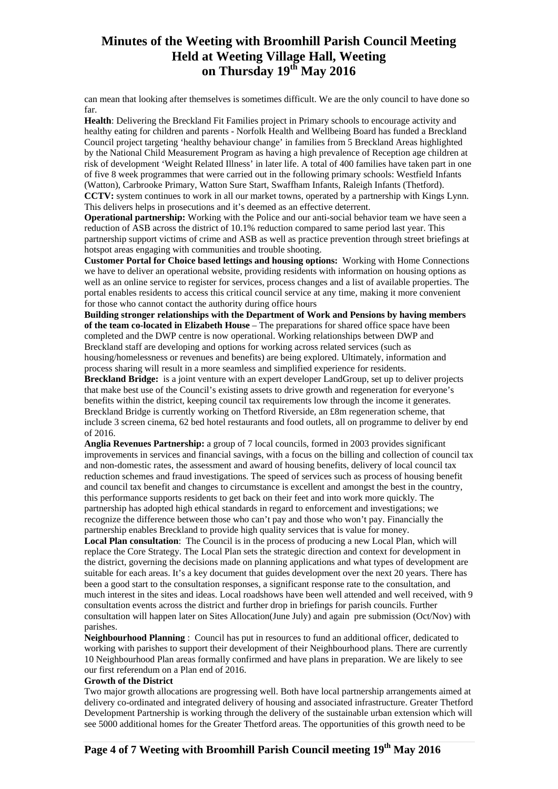can mean that looking after themselves is sometimes difficult. We are the only council to have done so far.

**Health**: Delivering the Breckland Fit Families project in Primary schools to encourage activity and healthy eating for children and parents - Norfolk Health and Wellbeing Board has funded a Breckland Council project targeting 'healthy behaviour change' in families from 5 Breckland Areas highlighted by the National Child Measurement Program as having a high prevalence of Reception age children at risk of development 'Weight Related Illness' in later life. A total of 400 families have taken part in one of five 8 week programmes that were carried out in the following primary schools: Westfield Infants (Watton), Carbrooke Primary, Watton Sure Start, Swaffham Infants, Raleigh Infants (Thetford). **CCTV:** system continues to work in all our market towns, operated by a partnership with Kings Lynn.

This delivers helps in prosecutions and it's deemed as an effective deterrent. **Operational partnership:** Working with the Police and our anti-social behavior team we have seen a reduction of ASB across the district of 10.1% reduction compared to same period last year. This partnership support victims of crime and ASB as well as practice prevention through street briefings at hotspot areas engaging with communities and trouble shooting.

**Customer Portal for Choice based lettings and housing options:** Working with Home Connections we have to deliver an operational website, providing residents with information on housing options as well as an online service to register for services, process changes and a list of available properties. The portal enables residents to access this critical council service at any time, making it more convenient for those who cannot contact the authority during office hours

**Building stronger relationships with the Department of Work and Pensions by having members of the team co-located in Elizabeth House** – The preparations for shared office space have been completed and the DWP centre is now operational. Working relationships between DWP and Breckland staff are developing and options for working across related services (such as housing/homelessness or revenues and benefits) are being explored. Ultimately, information and process sharing will result in a more seamless and simplified experience for residents.

**Breckland Bridge:** is a joint venture with an expert developer LandGroup, set up to deliver projects that make best use of the Council's existing assets to drive growth and regeneration for everyone's benefits within the district, keeping council tax requirements low through the income it generates. Breckland Bridge is currently working on Thetford Riverside, an £8m regeneration scheme, that include 3 screen cinema, 62 bed hotel restaurants and food outlets, all on programme to deliver by end of 2016.

**Anglia Revenues Partnership:** a group of 7 local councils, formed in 2003 provides significant improvements in services and financial savings, with a focus on the billing and collection of council tax and non-domestic rates, the assessment and award of housing benefits, delivery of local council tax reduction schemes and fraud investigations. The speed of services such as process of housing benefit and council tax benefit and changes to circumstance is excellent and amongst the best in the country, this performance supports residents to get back on their feet and into work more quickly. The partnership has adopted high ethical standards in regard to enforcement and investigations; we recognize the difference between those who can't pay and those who won't pay. Financially the partnership enables Breckland to provide high quality services that is value for money.

**Local Plan consultation**: The Council is in the process of producing a new Local Plan, which will replace the Core Strategy. The Local Plan sets the strategic direction and context for development in the district, governing the decisions made on planning applications and what types of development are suitable for each areas. It's a key document that guides development over the next 20 years. There has been a good start to the consultation responses, a significant response rate to the consultation, and much interest in the sites and ideas. Local roadshows have been well attended and well received, with 9 consultation events across the district and further drop in briefings for parish councils. Further consultation will happen later on Sites Allocation(June July) and again pre submission (Oct/Nov) with parishes.

**Neighbourhood Planning** : Council has put in resources to fund an additional officer, dedicated to working with parishes to support their development of their Neighbourhood plans. There are currently 10 Neighbourhood Plan areas formally confirmed and have plans in preparation. We are likely to see our first referendum on a Plan end of 2016.

#### **Growth of the District**

Two major growth allocations are progressing well. Both have local partnership arrangements aimed at delivery co-ordinated and integrated delivery of housing and associated infrastructure. Greater Thetford Development Partnership is working through the delivery of the sustainable urban extension which will see 5000 additional homes for the Greater Thetford areas. The opportunities of this growth need to be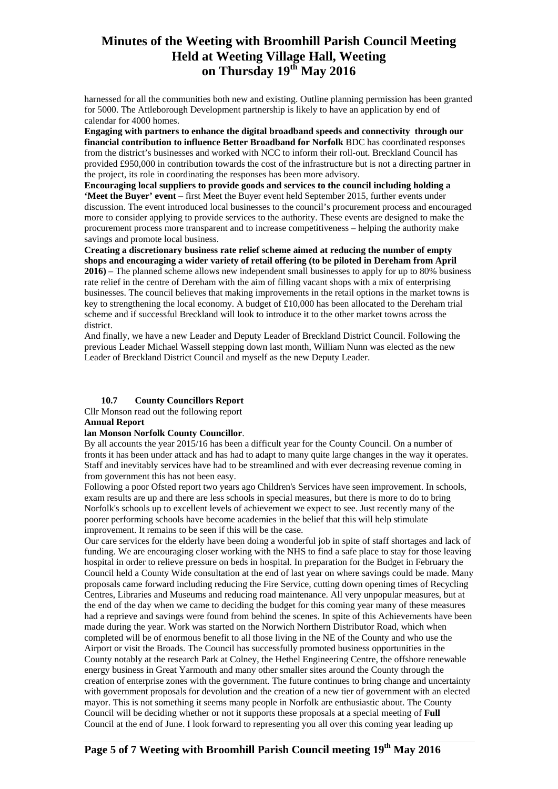harnessed for all the communities both new and existing. Outline planning permission has been granted for 5000. The Attleborough Development partnership is likely to have an application by end of calendar for 4000 homes.

**Engaging with partners to enhance the digital broadband speeds and connectivity through our financial contribution to influence Better Broadband for Norfolk** BDC has coordinated responses from the district's businesses and worked with NCC to inform their roll-out. Breckland Council has provided £950,000 in contribution towards the cost of the infrastructure but is not a directing partner in the project, its role in coordinating the responses has been more advisory.

**Encouraging local suppliers to provide goods and services to the council including holding a 'Meet the Buyer' event** *–* first Meet the Buyer event held September 2015, further events under discussion. The event introduced local businesses to the council's procurement process and encouraged more to consider applying to provide services to the authority. These events are designed to make the procurement process more transparent and to increase competitiveness – helping the authority make savings and promote local business.

**Creating a discretionary business rate relief scheme aimed at reducing the number of empty shops and encouraging a wider variety of retail offering (to be piloted in Dereham from April 2016)** – The planned scheme allows new independent small businesses to apply for up to 80% business rate relief in the centre of Dereham with the aim of filling vacant shops with a mix of enterprising businesses. The council believes that making improvements in the retail options in the market towns is key to strengthening the local economy. A budget of £10,000 has been allocated to the Dereham trial scheme and if successful Breckland will look to introduce it to the other market towns across the district.

And finally, we have a new Leader and Deputy Leader of Breckland District Council. Following the previous Leader Michael Wassell stepping down last month, William Nunn was elected as the new Leader of Breckland District Council and myself as the new Deputy Leader.

### **10.7 County Councillors Report**

Cllr Monson read out the following report

#### **Annual Report**

## **lan Monson Norfolk County Councillor**.

By all accounts the year 2015/16 has been a difficult year for the County Council. On a number of fronts it has been under attack and has had to adapt to many quite large changes in the way it operates. Staff and inevitably services have had to be streamlined and with ever decreasing revenue coming in from government this has not been easy.

Following a poor Ofsted report two years ago Children's Services have seen improvement. In schools, exam results are up and there are less schools in special measures, but there is more to do to bring Norfolk's schools up to excellent levels of achievement we expect to see. Just recently many of the poorer performing schools have become academies in the belief that this will help stimulate improvement. It remains to be seen if this will be the case.

Our care services for the elderly have been doing a wonderful job in spite of staff shortages and lack of funding. We are encouraging closer working with the NHS to find a safe place to stay for those leaving hospital in order to relieve pressure on beds in hospital. In preparation for the Budget in February the Council held a County Wide consultation at the end of last year on where savings could be made. Many proposals came forward including reducing the Fire Service, cutting down opening times of Recycling Centres, Libraries and Museums and reducing road maintenance. All very unpopular measures, but at the end of the day when we came to deciding the budget for this coming year many of these measures had a reprieve and savings were found from behind the scenes. In spite of this Achievements have been made during the year. Work was started on the Norwich Northern Distributor Road, which when completed will be of enormous benefit to all those living in the NE of the County and who use the Airport or visit the Broads. The Council has successfully promoted business opportunities in the County notably at the research Park at Colney, the Hethel Engineering Centre, the offshore renewable energy business in Great Yarmouth and many other smaller sites around the County through the creation of enterprise zones with the government. The future continues to bring change and uncertainty with government proposals for devolution and the creation of a new tier of government with an elected mayor. This is not something it seems many people in Norfolk are enthusiastic about. The County Council will be deciding whether or not it supports these proposals at a special meeting of **Full**  Council at the end of June. I look forward to representing you all over this coming year leading up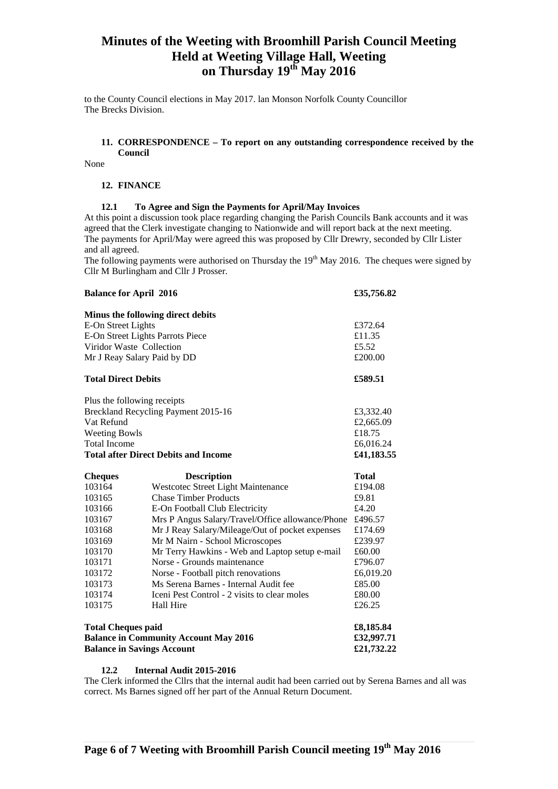to the County Council elections in May 2017. lan Monson Norfolk County Councillor The Brecks Division.

### **11. CORRESPONDENCE – To report on any outstanding correspondence received by the Council**

None

#### **12. FINANCE**

### **12.1 To Agree and Sign the Payments for April/May Invoices**

At this point a discussion took place regarding changing the Parish Councils Bank accounts and it was agreed that the Clerk investigate changing to Nationwide and will report back at the next meeting. The payments for April/May were agreed this was proposed by Cllr Drewry, seconded by Cllr Lister and all agreed.

The following payments were authorised on Thursday the  $19<sup>th</sup>$  May 2016. The cheques were signed by Cllr M Burlingham and Cllr J Prosser.

| <b>Balance for April 2016</b>                |                                                  | £35,756.82   |
|----------------------------------------------|--------------------------------------------------|--------------|
|                                              | Minus the following direct debits                |              |
| E-On Street Lights                           |                                                  | £372.64      |
| E-On Street Lights Parrots Piece             |                                                  | £11.35       |
| Viridor Waste Collection                     |                                                  | £5.52        |
| Mr J Reay Salary Paid by DD                  |                                                  | £200.00      |
| <b>Total Direct Debits</b>                   |                                                  | £589.51      |
| Plus the following receipts                  |                                                  |              |
| Breckland Recycling Payment 2015-16          |                                                  | £3,332.40    |
| Vat Refund                                   |                                                  | £2,665.09    |
| <b>Weeting Bowls</b>                         |                                                  | £18.75       |
| <b>Total Income</b>                          |                                                  | £6,016.24    |
| <b>Total after Direct Debits and Income</b>  |                                                  | £41,183.55   |
| <b>Cheques</b>                               | <b>Description</b>                               | <b>Total</b> |
| 103164                                       | Westcotec Street Light Maintenance               | £194.08      |
| 103165                                       | <b>Chase Timber Products</b>                     | £9.81        |
| 103166                                       | E-On Football Club Electricity                   | £4.20        |
| 103167                                       | Mrs P Angus Salary/Travel/Office allowance/Phone | £496.57      |
| 103168                                       | Mr J Reay Salary/Mileage/Out of pocket expenses  | £174.69      |
| 103169                                       | Mr M Nairn - School Microscopes                  | £239.97      |
| 103170                                       | Mr Terry Hawkins - Web and Laptop setup e-mail   | £60.00       |
| 103171                                       | Norse - Grounds maintenance                      | £796.07      |
| 103172                                       | Norse - Football pitch renovations               | £6,019.20    |
| 103173                                       | Ms Serena Barnes - Internal Audit fee            | £85.00       |
| 103174                                       | Iceni Pest Control - 2 visits to clear moles     | £80.00       |
| 103175                                       | Hall Hire                                        | £26.25       |
| <b>Total Cheques paid</b>                    |                                                  | £8,185.84    |
| <b>Balance in Community Account May 2016</b> |                                                  | £32,997.71   |
| <b>Balance in Savings Account</b>            |                                                  | £21,732.22   |

#### **12.2 Internal Audit 2015-2016**

The Clerk informed the Cllrs that the internal audit had been carried out by Serena Barnes and all was correct. Ms Barnes signed off her part of the Annual Return Document.